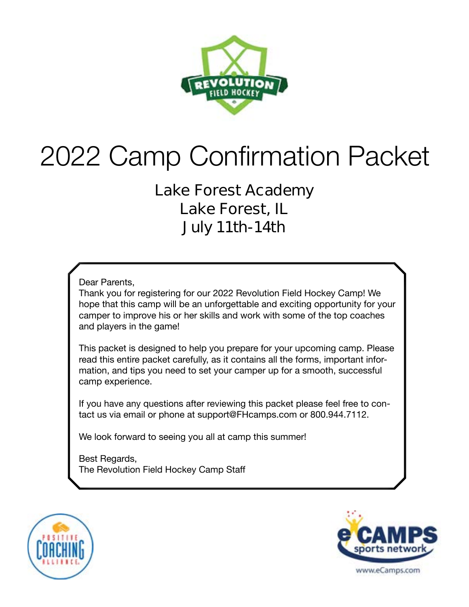

# 2022 Camp Confirmation Packet

### **Lake Forest Academy Lake Forest, IL July 11th-14th**

Dear Parents,

Thank you for registering for our 2022 Revolution Field Hockey Camp! We hope that this camp will be an unforgettable and exciting opportunity for your camper to improve his or her skills and work with some of the top coaches and players in the game!

This packet is designed to help you prepare for your upcoming camp. Please read this entire packet carefully, as it contains all the forms, important information, and tips you need to set your camper up for a smooth, successful camp experience.

If you have any questions after reviewing this packet please feel free to contact us via email or phone at support@FHcamps.com or 800.944.7112.

We look forward to seeing you all at camp this summer!

Best Regards, The Revolution Field Hockey Camp Staff



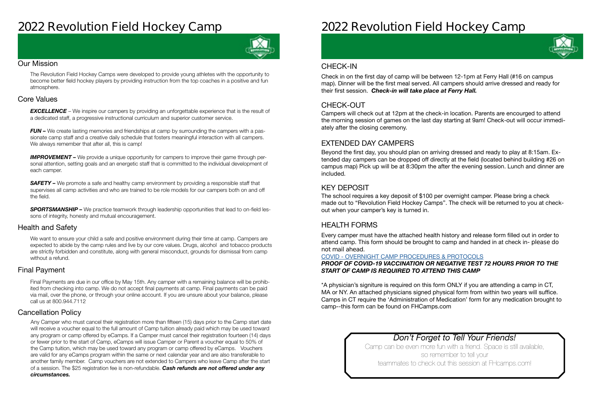### **2022 Revolution Field Hockey Camp**



#### Our Mission

The Revolution Field Hockey Camps were developed to provide young athletes with the opportunity to become better field hockey players by providing instruction from the top coaches in a positive and fun atmosphere.

#### Health and Safety

We want to ensure your child a safe and positive environment during their time at camp. Campers are expected to abide by the camp rules and live by our core values. Drugs, alcohol and tobacco products are strictly forbidden and constitute, along with general misconduct, grounds for dismissal from camp without a refund.

#### Cancellation Policy

#### Final Payment

**EXCELLENCE** – We inspire our campers by providing an unforgettable experience that is the result of a dedicated staff, a progressive instructional curriculum and superior customer service.

*FUN –* We create lasting memories and friendships at camp by surrounding the campers with a passionate camp staff and a creative daily schedule that fosters meaningful interaction with all campers. We always remember that after all, this is camp!

#### Core Values

**IMPROVEMENT** – We provide a unique opportunity for campers to improve their game through personal attention, setting goals and an energetic staff that is committed to the individual development of each camper.

**SAFETY** – We promote a safe and healthy camp environment by providing a responsible staff that supervises all camp activities and who are trained to be role models for our campers both on and off the field.

**SPORTSMANSHIP –** We practice teamwork through leadership opportunities that lead to on-field lessons of integrity, honesty and mutual encouragement.

Final Payments are due in our office by May 15th. Any camper with a remaining balance will be prohibited from checking into camp. We do not accept final payments at camp. Final payments can be paid via mail, over the phone, or through your online account. If you are unsure about your balance, please call us at 800.944.7112

Any Camper who must cancel their registration more than fifteen (15) days prior to the Camp start date will receive a voucher equal to the full amount of Camp tuition already paid which may be used toward any program or camp offered by eCamps. If a Camper must cancel their registration fourteen (14) days or fewer prior to the start of Camp, eCamps will issue Camper or Parent a voucher equal to 50% of the Camp tuition, which may be used toward any program or camp offered by eCamps. Vouchers are valid for any eCamps program within the same or next calendar year and are also transferable to another family member. Camp vouchers are not extended to Campers who leave Camp after the start of a session. The \$25 registration fee is non-refundable. *Cash refunds are not offered under any circumstances.*

## **2022 Revolution Field Hockey Camp**

#### *Don't Forget to Tell Your Friends!*

Camp can be even more fun with a friend. Space is still available, so remember to tell your teammates to check out this session at FHcamps.com!



#### CHECK-OUT

#### EXTENDED DAY CAMPERS

#### KEY DEPOSIT

#### HEALTH FORMS

Campers will check out at 12pm at the check-in location. Parents are encourged to attend the morning session of games on the last day starting at 9am! Check-out will occur immediately after the closing ceremony.

Beyond the first day, you should plan on arriving dressed and ready to play at 8:15am. Extended day campers can be dropped off directly at the field (located behind building #26 on campus map) Pick up will be at 8:30pm the after the evening session. Lunch and dinner are included.

The school requires a key deposit of \$100 per overnight camper. Please bring a check made out to "Revolution Field Hockey Camps". The check will be returned to you at checkout when your camper's key is turned in.

Every camper must have the attached health history and release form filled out in order to attend camp. This form should be brought to camp and handed in at check in- **please do not mail ahead**.

#### COVID - [OVERNIGHT CAMP PROCEDURES & PROTOCOLS](https://laxcamps.com/wp-content/uploads/COVID-19-eCamps-Sports-Network-Guidlines-Overnight-Camp.pdf) *PROOF OF COVID-19 VACCINATION OR NEGATIVE TEST 72 HOURS PRIOR TO THE START OF CAMP IS REQUIRED TO ATTEND THIS CAMP*

\*A physician's signiture is required on this form ONLY if you are attending a camp in CT, MA or NY. An attached physicians signed physical form from within two years will suffice. Camps in CT require the 'Administration of Medication' form for any medication brought to camp--this form can be found on FHCamps.com

#### CHECK-IN

Check in on the first day of camp will be between 12-1pm at Ferry Hall (#16 on campus map). Dinner will be the first meal served. All campers should arrive dressed and ready for their first session. *Check-in will take place at Ferry Hall.*